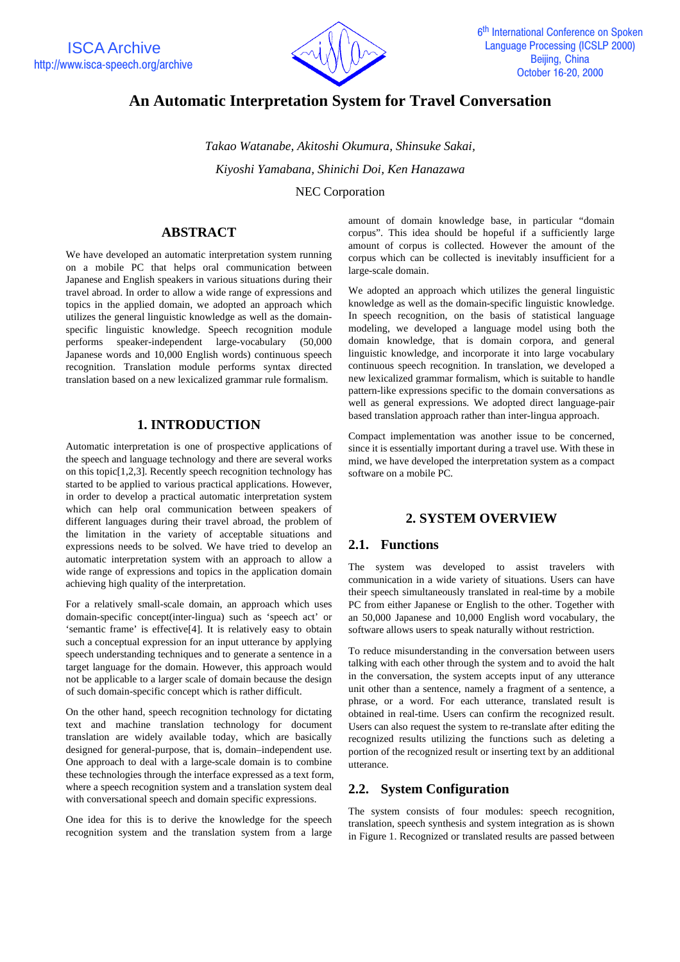

# **An Automatic Interpretation System for Travel Conversation**

*Takao Watanabe, Akitoshi Okumura, Shinsuke Sakai, Kiyoshi Yamabana, Shinichi Doi, Ken Hanazawa*

NEC Corporation

# **ABSTRACT**

We have developed an automatic interpretation system running on a mobile PC that helps oral communication between Japanese and English speakers in various situations during their travel abroad. In order to allow a wide range of expressions and topics in the applied domain, we adopted an approach which utilizes the general linguistic knowledge as well as the domainspecific linguistic knowledge. Speech recognition module performs speaker-independent large-vocabulary (50,000 Japanese words and 10,000 English words) continuous speech recognition. Translation module performs syntax directed translation based on a new lexicalized grammar rule formalism.

# **1. INTRODUCTION**

Automatic interpretation is one of prospective applications of the speech and language technology and there are several works on this topic[1,2,3]. Recently speech recognition technology has started to be applied to various practical applications. However, in order to develop a practical automatic interpretation system which can help oral communication between speakers of different languages during their travel abroad, the problem of the limitation in the variety of acceptable situations and expressions needs to be solved. We have tried to develop an automatic interpretation system with an approach to allow a wide range of expressions and topics in the application domain achieving high quality of the interpretation.

For a relatively small-scale domain, an approach which uses domain-specific concept(inter-lingua) such as 'speech act' or 'semantic frame' is effective[4]. It is relatively easy to obtain such a conceptual expression for an input utterance by applying speech understanding techniques and to generate a sentence in a target language for the domain. However, this approach would not be applicable to a larger scale of domain because the design of such domain-specific concept which is rather difficult.

On the other hand, speech recognition technology for dictating text and machine translation technology for document translation are widely available today, which are basically designed for general-purpose, that is, domain–independent use. One approach to deal with a large-scale domain is to combine these technologies through the interface expressed as a text form, where a speech recognition system and a translation system deal with conversational speech and domain specific expressions.

One idea for this is to derive the knowledge for the speech recognition system and the translation system from a large

amount of domain knowledge base, in particular "domain corpus". This idea should be hopeful if a sufficiently large amount of corpus is collected. However the amount of the corpus which can be collected is inevitably insufficient for a large-scale domain.

We adopted an approach which utilizes the general linguistic knowledge as well as the domain-specific linguistic knowledge. In speech recognition, on the basis of statistical language modeling, we developed a language model using both the domain knowledge, that is domain corpora, and general linguistic knowledge, and incorporate it into large vocabulary continuous speech recognition. In translation, we developed a new lexicalized grammar formalism, which is suitable to handle pattern-like expressions specific to the domain conversations as well as general expressions. We adopted direct language-pair based translation approach rather than inter-lingua approach.

Compact implementation was another issue to be concerned, since it is essentially important during a travel use. With these in mind, we have developed the interpretation system as a compact software on a mobile PC.

# **2. SYSTEM OVERVIEW**

#### **2.1. Functions**

The system was developed to assist travelers with communication in a wide variety of situations. Users can have their speech simultaneously translated in real-time by a mobile PC from either Japanese or English to the other. Together with an 50,000 Japanese and 10,000 English word vocabulary, the software allows users to speak naturally without restriction.

To reduce misunderstanding in the conversation between users talking with each other through the system and to avoid the halt in the conversation, the system accepts input of any utterance unit other than a sentence, namely a fragment of a sentence, a phrase, or a word. For each utterance, translated result is obtained in real-time. Users can confirm the recognized result. Users can also request the system to re-translate after editing the recognized results utilizing the functions such as deleting a portion of the recognized result or inserting text by an additional utterance.

# **2.2. System Configuration**

The system consists of four modules: speech recognition, translation, speech synthesis and system integration as is shown in Figure 1. Recognized or translated results are passed between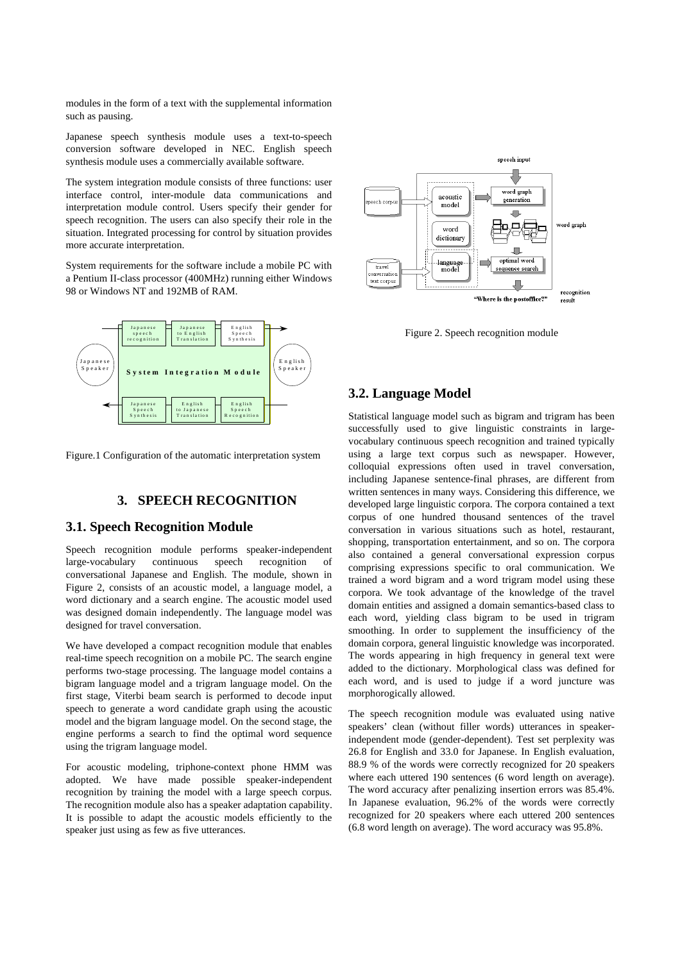modules in the form of a text with the supplemental information such as pausing.

Japanese speech synthesis module uses a text-to-speech conversion software developed in NEC. English speech synthesis module uses a commercially available software.

The system integration module consists of three functions: user interface control, inter-module data communications and interpretation module control. Users specify their gender for speech recognition. The users can also specify their role in the situation. Integrated processing for control by situation provides more accurate interpretation.

System requirements for the software include a mobile PC with a Pentium II-class processor (400MHz) running either Windows 98 or Windows NT and 192MB of RAM.



Figure.1 Configuration of the automatic interpretation system

### **3. SPEECH RECOGNITION**

## **3.1. Speech Recognition Module**

Speech recognition module performs speaker-independent large-vocabulary continuous speech recognition of conversational Japanese and English. The module, shown in Figure 2, consists of an acoustic model, a language model, a word dictionary and a search engine. The acoustic model used was designed domain independently. The language model was designed for travel conversation.

We have developed a compact recognition module that enables real-time speech recognition on a mobile PC. The search engine performs two-stage processing. The language model contains a bigram language model and a trigram language model. On the first stage, Viterbi beam search is performed to decode input speech to generate a word candidate graph using the acoustic model and the bigram language model. On the second stage, the engine performs a search to find the optimal word sequence using the trigram language model.

For acoustic modeling, triphone-context phone HMM was adopted. We have made possible speaker-independent recognition by training the model with a large speech corpus. The recognition module also has a speaker adaptation capability. It is possible to adapt the acoustic models efficiently to the speaker just using as few as five utterances.



Figure 2. Speech recognition module

## **3.2. Language Model**

Statistical language model such as bigram and trigram has been successfully used to give linguistic constraints in largevocabulary continuous speech recognition and trained typically using a large text corpus such as newspaper. However, colloquial expressions often used in travel conversation, including Japanese sentence-final phrases, are different from written sentences in many ways. Considering this difference, we developed large linguistic corpora. The corpora contained a text corpus of one hundred thousand sentences of the travel conversation in various situations such as hotel, restaurant, shopping, transportation entertainment, and so on. The corpora also contained a general conversational expression corpus comprising expressions specific to oral communication. We trained a word bigram and a word trigram model using these corpora. We took advantage of the knowledge of the travel domain entities and assigned a domain semantics-based class to each word, yielding class bigram to be used in trigram smoothing. In order to supplement the insufficiency of the domain corpora, general linguistic knowledge was incorporated. The words appearing in high frequency in general text were added to the dictionary. Morphological class was defined for each word, and is used to judge if a word juncture was morphorogically allowed.

The speech recognition module was evaluated using native speakers' clean (without filler words) utterances in speakerindependent mode (gender-dependent). Test set perplexity was 26.8 for English and 33.0 for Japanese. In English evaluation, 88.9 % of the words were correctly recognized for 20 speakers where each uttered 190 sentences (6 word length on average). The word accuracy after penalizing insertion errors was 85.4%. In Japanese evaluation, 96.2% of the words were correctly recognized for 20 speakers where each uttered 200 sentences (6.8 word length on average). The word accuracy was 95.8%.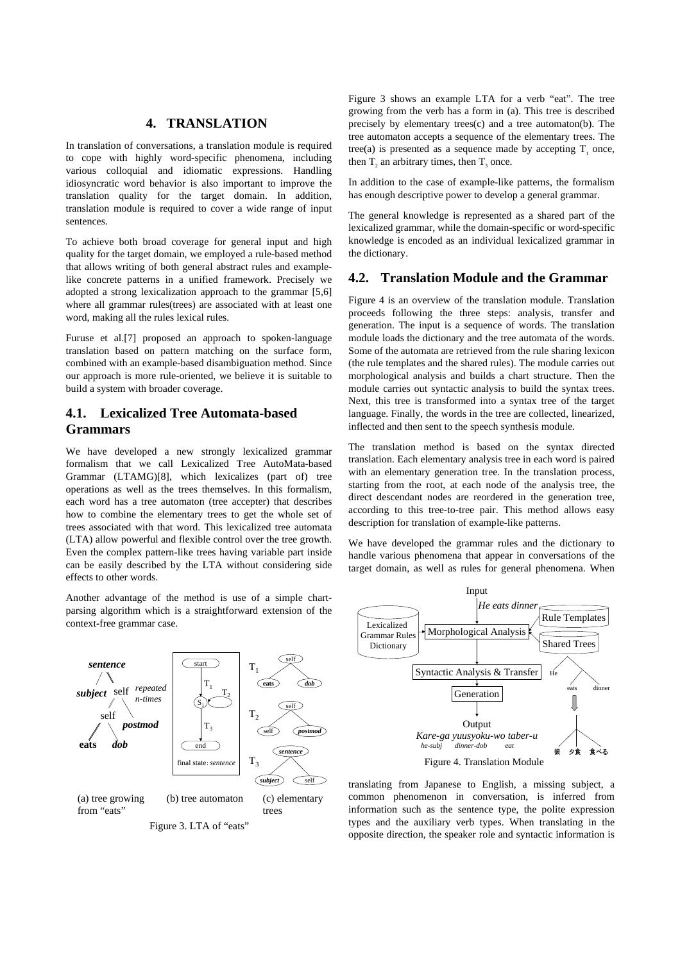# **4. TRANSLATION**

In translation of conversations, a translation module is required to cope with highly word-specific phenomena, including various colloquial and idiomatic expressions. Handling idiosyncratic word behavior is also important to improve the translation quality for the target domain. In addition, translation module is required to cover a wide range of input sentences.

To achieve both broad coverage for general input and high quality for the target domain, we employed a rule-based method that allows writing of both general abstract rules and examplelike concrete patterns in a unified framework. Precisely we adopted a strong lexicalization approach to the grammar [5,6] where all grammar rules(trees) are associated with at least one word, making all the rules lexical rules.

Furuse et al.[7] proposed an approach to spoken-language translation based on pattern matching on the surface form, combined with an example-based disambiguation method. Since our approach is more rule-oriented, we believe it is suitable to build a system with broader coverage.

# **4.1. Lexicalized Tree Automata-based Grammars**

We have developed a new strongly lexicalized grammar formalism that we call Lexicalized Tree AutoMata-based Grammar (LTAMG)[8], which lexicalizes (part of) tree operations as well as the trees themselves. In this formalism, each word has a tree automaton (tree accepter) that describes how to combine the elementary trees to get the whole set of trees associated with that word. This lexicalized tree automata (LTA) allow powerful and flexible control over the tree growth. Even the complex pattern-like trees having variable part inside can be easily described by the LTA without considering side effects to other words.

Another advantage of the method is use of a simple chartparsing algorithm which is a straightforward extension of the context-free grammar case.



Figure 3. LTA of "eats"

Figure 3 shows an example LTA for a verb "eat". The tree growing from the verb has a form in (a). This tree is described precisely by elementary trees(c) and a tree automaton(b). The tree automaton accepts a sequence of the elementary trees. The tree(a) is presented as a sequence made by accepting  $T_1$  once, then  $T_2$  an arbitrary times, then  $T_3$  once.

In addition to the case of example-like patterns, the formalism has enough descriptive power to develop a general grammar.

The general knowledge is represented as a shared part of the lexicalized grammar, while the domain-specific or word-specific knowledge is encoded as an individual lexicalized grammar in the dictionary.

#### **4.2. Translation Module and the Grammar**

Figure 4 is an overview of the translation module. Translation proceeds following the three steps: analysis, transfer and generation. The input is a sequence of words. The translation module loads the dictionary and the tree automata of the words. Some of the automata are retrieved from the rule sharing lexicon (the rule templates and the shared rules). The module carries out morphological analysis and builds a chart structure. Then the module carries out syntactic analysis to build the syntax trees. Next, this tree is transformed into a syntax tree of the target language. Finally, the words in the tree are collected, linearized, inflected and then sent to the speech synthesis module.

The translation method is based on the syntax directed translation. Each elementary analysis tree in each word is paired with an elementary generation tree. In the translation process, starting from the root, at each node of the analysis tree, the direct descendant nodes are reordered in the generation tree, according to this tree-to-tree pair. This method allows easy description for translation of example-like patterns.

We have developed the grammar rules and the dictionary to handle various phenomena that appear in conversations of the target domain, as well as rules for general phenomena. When



translating from Japanese to English, a missing subject, a common phenomenon in conversation, is inferred from information such as the sentence type, the polite expression types and the auxiliary verb types. When translating in the opposite direction, the speaker role and syntactic information is